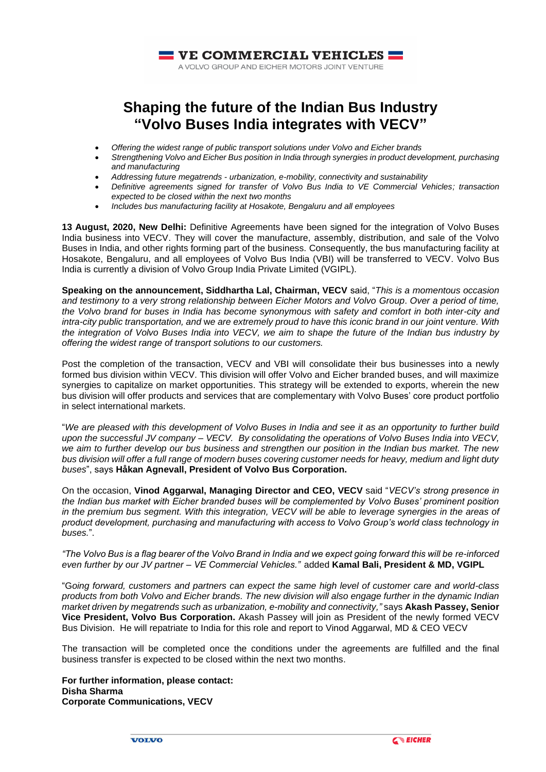

# **Shaping the future of the Indian Bus Industry "Volvo Buses India integrates with VECV"**

- *Offering the widest range of public transport solutions under Volvo and Eicher brands*
- *Strengthening Volvo and Eicher Bus position in India through synergies in product development, purchasing and manufacturing*
- *Addressing future megatrends - urbanization, e-mobility, connectivity and sustainability*
- *Definitive agreements signed for transfer of Volvo Bus India to VE Commercial Vehicles; transaction expected to be closed within the next two months*
- *Includes bus manufacturing facility at Hosakote, Bengaluru and all employees*

**13 August, 2020, New Delhi:** Definitive Agreements have been signed for the integration of Volvo Buses India business into VECV. They will cover the manufacture, assembly, distribution, and sale of the Volvo Buses in India, and other rights forming part of the business. Consequently, the bus manufacturing facility at Hosakote, Bengaluru, and all employees of Volvo Bus India (VBI) will be transferred to VECV. Volvo Bus India is currently a division of Volvo Group India Private Limited (VGIPL).

**Speaking on the announcement, Siddhartha Lal, Chairman, VECV** said, "*This is a momentous occasion and testimony to a very strong relationship between Eicher Motors and Volvo Group*. *Over a period of time, the Volvo brand for buses in India has become synonymous with safety and comfort in both inter-city and intra-city public transportation, and* w*e are extremely proud to have this iconic brand in our joint venture. With the integration of Volvo Buses India into VECV, we aim to shape the future of the Indian bus industry by offering the widest range of transport solutions to our customers.*

Post the completion of the transaction, VECV and VBI will consolidate their bus businesses into a newly formed bus division within VECV. This division will offer Volvo and Eicher branded buses, and will maximize synergies to capitalize on market opportunities. This strategy will be extended to exports, wherein the new bus division will offer products and services that are complementary with Volvo Buses' core product portfolio in select international markets.

"*We are pleased with this development of Volvo Buses in India and see it as an opportunity to further build upon the successful JV company – VECV. By consolidating the operations of Volvo Buses India into VECV, we aim to further develop our bus business and strengthen our position in the Indian bus market. The new bus division will offer a full range of modern buses covering customer needs for heavy, medium and light duty buses*", says **Håkan Agnevall, President of Volvo Bus Corporation.** 

On the occasion, **Vinod Aggarwal, Managing Director and CEO, VECV** said "*VECV's strong presence in the Indian bus market with Eicher branded buses will be complemented by Volvo Buses' prominent position in the premium bus segment. With this integration, VECV will be able to leverage synergies in the areas of product development, purchasing and manufacturing with access to Volvo Group's world class technology in buses.*".

*"The Volvo Bus is a flag bearer of the Volvo Brand in India and we expect going forward this will be re-inforced even further by our JV partner – VE Commercial Vehicles."* added **Kamal Bali, President & MD, VGIPL**

"G*oing forward, customers and partners can expect the same high level of customer care and world-class products from both Volvo and Eicher brands. The new division will also engage further in the dynamic Indian market driven by megatrends such as urbanization, e-mobility and connectivity,"* says **Akash Passey, Senior Vice President, Volvo Bus Corporation.** Akash Passey will join as President of the newly formed VECV Bus Division. He will repatriate to India for this role and report to Vinod Aggarwal, MD & CEO VECV

The transaction will be completed once the conditions under the agreements are fulfilled and the final business transfer is expected to be closed within the next two months.

**For further information, please contact: Disha Sharma Corporate Communications, VECV**

**VOLVO**